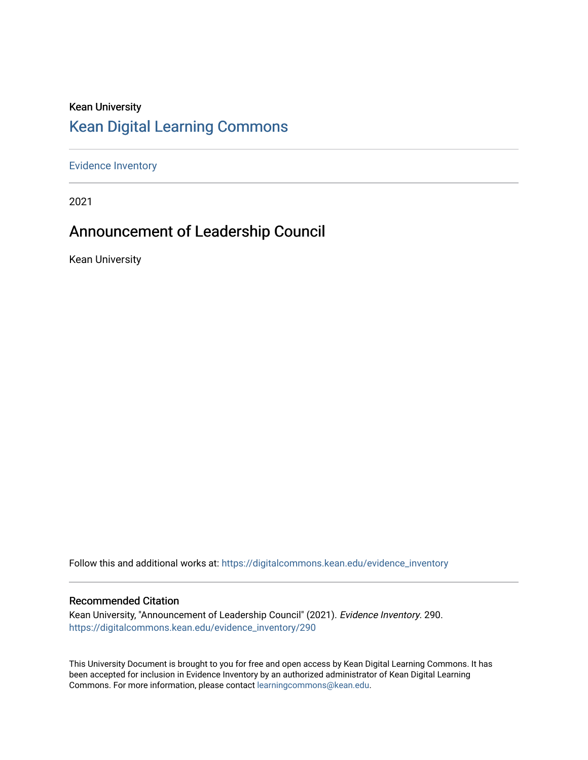### Kean University [Kean Digital Learning Commons](https://digitalcommons.kean.edu/)

[Evidence Inventory](https://digitalcommons.kean.edu/evidence_inventory) 

2021

### Announcement of Leadership Council

Kean University

Follow this and additional works at: [https://digitalcommons.kean.edu/evidence\\_inventory](https://digitalcommons.kean.edu/evidence_inventory?utm_source=digitalcommons.kean.edu%2Fevidence_inventory%2F290&utm_medium=PDF&utm_campaign=PDFCoverPages)

#### Recommended Citation

Kean University, "Announcement of Leadership Council" (2021). Evidence Inventory. 290. [https://digitalcommons.kean.edu/evidence\\_inventory/290](https://digitalcommons.kean.edu/evidence_inventory/290?utm_source=digitalcommons.kean.edu%2Fevidence_inventory%2F290&utm_medium=PDF&utm_campaign=PDFCoverPages)

This University Document is brought to you for free and open access by Kean Digital Learning Commons. It has been accepted for inclusion in Evidence Inventory by an authorized administrator of Kean Digital Learning Commons. For more information, please contact [learningcommons@kean.edu.](mailto:learningcommons@kean.edu)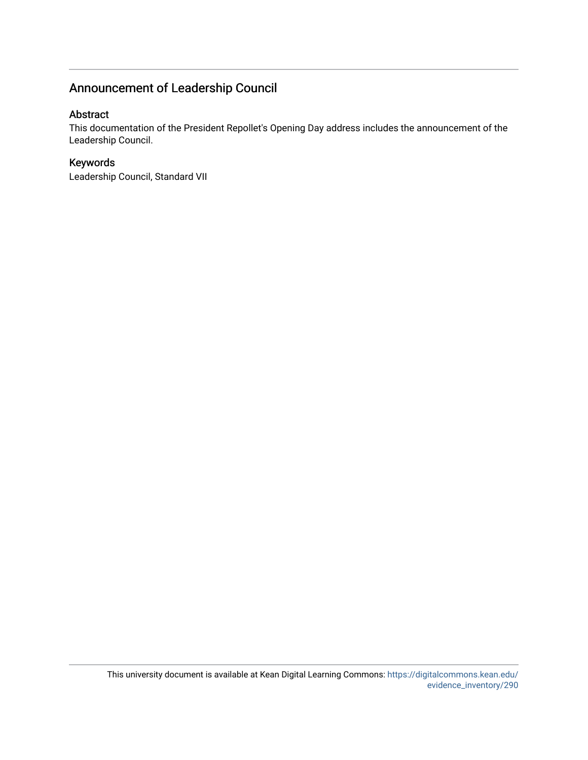### Announcement of Leadership Council

### Abstract

This documentation of the President Repollet's Opening Day address includes the announcement of the Leadership Council.

### Keywords

Leadership Council, Standard VII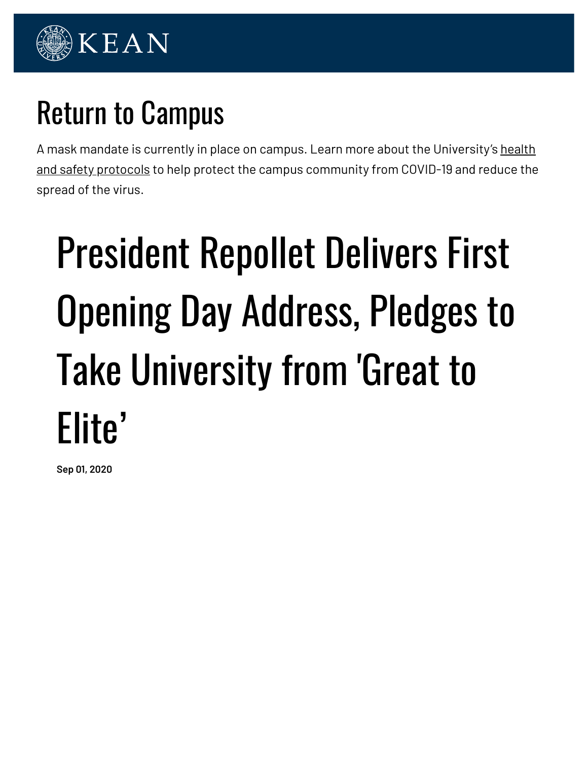

# Return to Campus

A mask mandate is currently in place on campus. Learn more about the University's health and safety protocols to help protect the campus community from COVID-19 and reduce the spread of the virus.

# President Repollet Delivers First Opening Day Address, Pledges to Take University from 'Great to Elite'

**Sep 01, 2020**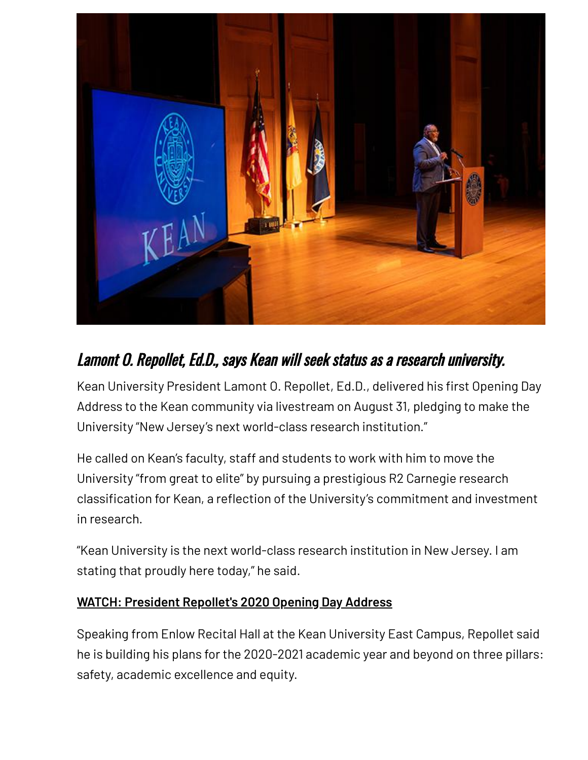

### Lamont O. Repollet, Ed.D., says Kean will seek status as <sup>a</sup> research university.

Kean University President Lamont O. Repollet, Ed.D., delivered his first Opening Day Address to the Kean community via livestream on August 31, pledging to make the University "New Jersey's next world-class research institution."

He called on Kean's faculty, staff and students to work with him to move the University "from great to elite" by pursuing a prestigious R2 Carnegie research classification for Kean, a reflection of the University's commitment and investment in research.

"Kean University is the next world-class research institution in New Jersey. I am stating that proudly here today," he said.

### **WATCH: President Repollet's 2020 Opening Day Address**

Speaking from Enlow Recital Hall at the Kean University East Campus, Repollet said he is building his plans for the 2020-2021 academic year and beyond on three pillars: safety, academic excellence and equity.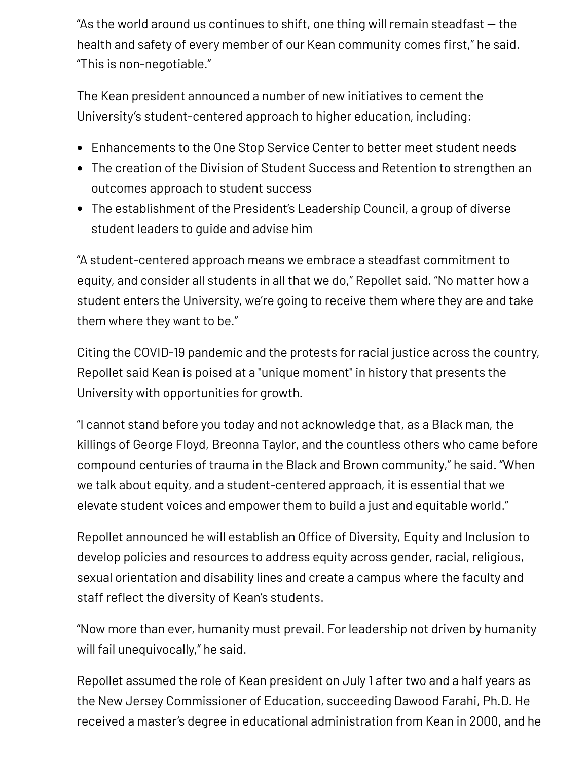"As the world around us continues to shift, one thing will remain steadfast — the health and safety of every member of our Kean community comes first," he said. "This is non-negotiable."

The Kean president announced a number of new initiatives to cement the University's student-centered approach to higher education, including:

- Enhancements to the One Stop Service Center to better meet student needs
- The creation of the Division of Student Success and Retention to strengthen an outcomes approach to student success
- The establishment of the President's Leadership Council, a group of diverse student leaders to guide and advise him

"A student-centered approach means we embrace a steadfast commitment to equity, and consider all students in all that we do," Repollet said. "No matter how a student enters the University, we're going to receive them where they are and take them where they want to be."

Citing the COVID-19 pandemic and the protests for racial justice across the country, Repollet said Kean is poised at a "unique moment" in history that presents the University with opportunities for growth.

"I cannot stand before you today and not acknowledge that, as a Black man, the killings of George Floyd, Breonna Taylor, and the countless others who came before compound centuries of trauma in the Black and Brown community," he said. "When we talk about equity, and a student-centered approach, it is essential that we elevate student voices and empower them to build a just and equitable world."

Repollet announced he will establish an Office of Diversity, Equity and Inclusion to develop policies and resources to address equity across gender, racial, religious, sexual orientation and disability lines and create a campus where the faculty and staff reflect the diversity of Kean's students.

"Now more than ever, humanity must prevail. For leadership not driven by humanity will fail unequivocally," he said.

Repollet assumed the role of Kean president on July 1 after two and a half years as the New Jersey Commissioner of Education, succeeding Dawood Farahi, Ph.D. He received a master's degree in educational administration from Kean in 2000, and he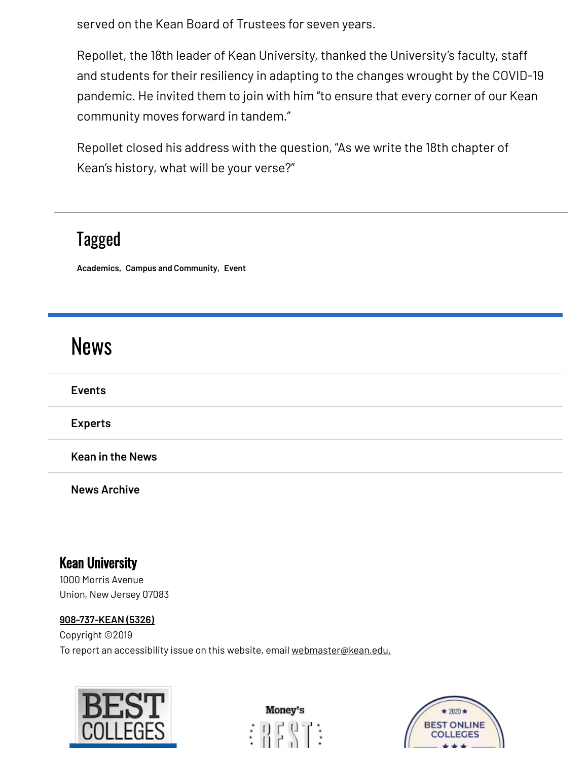served on the Kean Board of Trustees for seven years.

Repollet, the 18th leader of Kean University, thanked the University's faculty, staff and students for their resiliency in adapting to the changes wrought by the COVID-19 pandemic. He invited them to join with him "to ensure that every corner of our Kean community moves forward in tandem."

Repollet closed his address with the question, "As we write the 18th chapter of Kean's history, what will be your verse?"

## Tagged

**Academics, Campus and Community, Event**

# **News**

**Events**

**Experts**

**Kean in the News**

**News Archive**

### Kean University

1000 Morris Avenue Union, New Jersey 07083

### **908-737-KEAN (5326)**

Copyright ©2019 To report an accessibility issue on this website, email webmaster@kean.edu.

![](_page_5_Picture_14.jpeg)

![](_page_5_Picture_15.jpeg)

![](_page_5_Picture_16.jpeg)